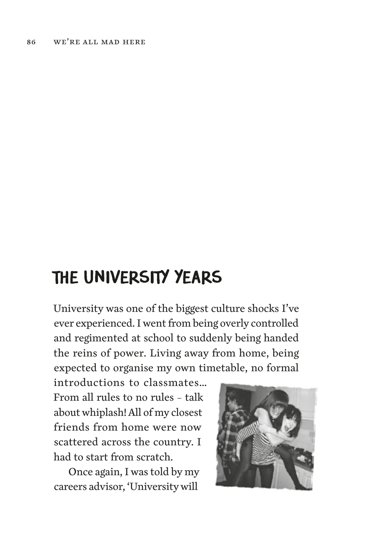## THE UNIVERSITY YEARS

University was one of the biggest culture shocks I've ever experienced. I went from being overly controlled and regimented at school to suddenly being handed the reins of power. Living away from home, being expected to organise my own timetable, no formal

introductions to classmates… From all rules to no rules – talk about whiplash! All of my closest friends from home were now scattered across the country. I had to start from scratch.

Once again, I was told by my careers advisor, 'University will

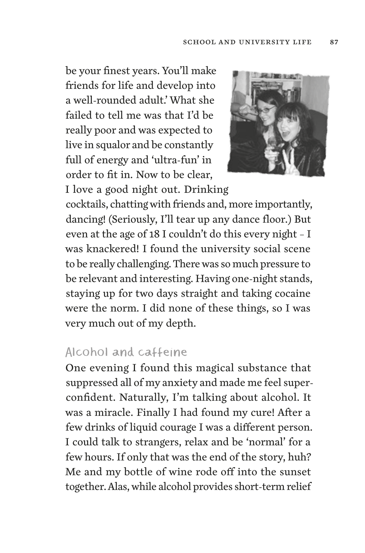be your finest years. You'll make friends for life and develop into a well-rounded adult.' What she failed to tell me was that I'd be really poor and was expected to live in squalor and be constantly full of energy and 'ultra-fun' in order to fit in. Now to be clear, I love a good night out. Drinking



cocktails, chatting with friends and, more importantly, dancing! (Seriously, I'll tear up any dance floor.) But even at the age of 18 I couldn't do this every night – I was knackered! I found the university social scene to be really challenging. There was so much pressure to be relevant and interesting. Having one-night stands, staying up for two days straight and taking cocaine were the norm. I did none of these things, so I was very much out of my depth.

## Alcohol and caffeine

One evening I found this magical substance that suppressed all of my anxiety and made me feel superconfident. Naturally, I'm talking about alcohol. It was a miracle. Finally I had found my cure! After a few drinks of liquid courage I was a different person. I could talk to strangers, relax and be 'normal' for a few hours. If only that was the end of the story, huh? Me and my bottle of wine rode off into the sunset together. Alas, while alcohol provides short-term relief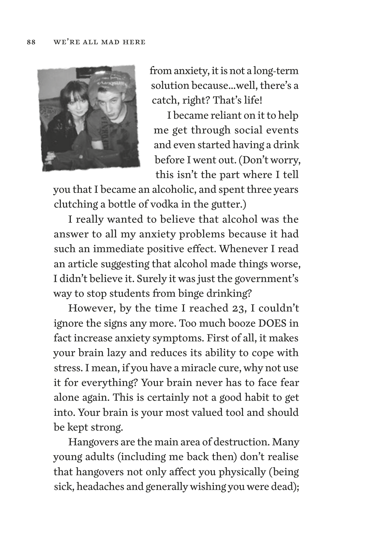

from anxiety, it is not a long-term solution because…well, there's a catch, right? That's life!

I became reliant on it to help me get through social events and even started having a drink before I went out. (Don't worry, this isn't the part where I tell

you that I became an alcoholic, and spent three years clutching a bottle of vodka in the gutter.)

I really wanted to believe that alcohol was the answer to all my anxiety problems because it had such an immediate positive effect. Whenever I read an article suggesting that alcohol made things worse, I didn't believe it. Surely it was just the government's way to stop students from binge drinking?

However, by the time I reached 23, I couldn't ignore the signs any more. Too much booze DOES in fact increase anxiety symptoms. First of all, it makes your brain lazy and reduces its ability to cope with stress. I mean, if you have a miracle cure, why not use it for everything? Your brain never has to face fear alone again. This is certainly not a good habit to get into. Your brain is your most valued tool and should be kept strong.

Hangovers are the main area of destruction. Many young adults (including me back then) don't realise that hangovers not only affect you physically (being sick, headaches and generally wishing you were dead);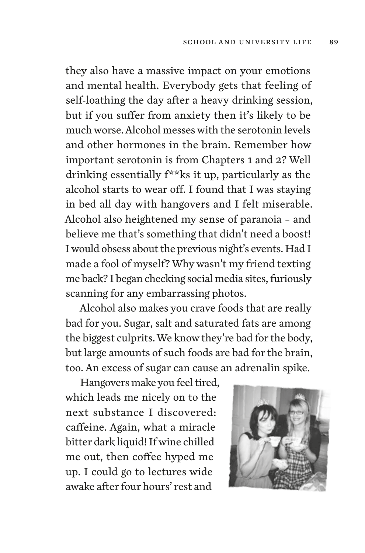they also have a massive impact on your emotions and mental health. Everybody gets that feeling of self-loathing the day after a heavy drinking session, but if you suffer from anxiety then it's likely to be much worse. Alcohol messes with the serotonin levels and other hormones in the brain. Remember how important serotonin is from Chapters 1 and 2? Well drinking essentially f\*\*ks it up, particularly as the alcohol starts to wear off. I found that I was staying in bed all day with hangovers and I felt miserable. Alcohol also heightened my sense of paranoia – and believe me that's something that didn't need a boost! I would obsess about the previous night's events. Had I made a fool of myself? Why wasn't my friend texting me back? I began checking social media sites, furiously scanning for any embarrassing photos.

Alcohol also makes you crave foods that are really bad for you. Sugar, salt and saturated fats are among the biggest culprits. We know they're bad for the body, but large amounts of such foods are bad for the brain, too. An excess of sugar can cause an adrenalin spike.

Hangovers make you feel tired, which leads me nicely on to the next substance I discovered: caffeine. Again, what a miracle bitter dark liquid! If wine chilled me out, then coffee hyped me up. I could go to lectures wide awake after four hours' rest and

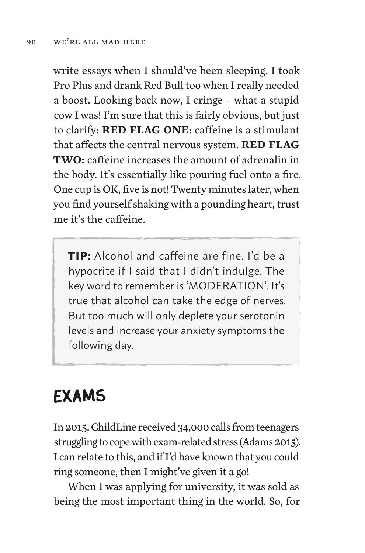write essays when I should've been sleeping. I took Pro Plus and drank Red Bull too when I really needed a boost. Looking back now, I cringe – what a stupid cow I was! I'm sure that this is fairly obvious, but just to clarify: **RED FLAG ONE:** caffeine is a stimulant that affects the central nervous system. **RED FLAG TWO:** caffeine increases the amount of adrenalin in the body. It's essentially like pouring fuel onto a fire. One cup is OK, five is not! Twenty minutes later, when you find yourself shaking with a pounding heart, trust me it's the caffeine.

**TIP:** Alcohol and caffeine are fine. I'd be a hypocrite if I said that I didn't indulge. The key word to remember is 'MODERATION'. It's true that alcohol can take the edge of nerves. But too much will only deplete your serotonin levels and increase your anxiety symptoms the following day.

# EXAMS

In 2015, ChildLine received 34,000 calls from teenagers struggling to cope with exam-related stress (Adams 2015). I can relate to this, and if I'd have known that you could ring someone, then I might've given it a go!

When I was applying for university, it was sold as being the most important thing in the world. So, for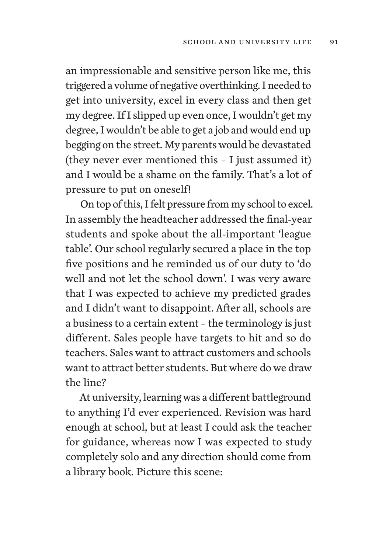an impressionable and sensitive person like me, this triggered a volume of negative overthinking. I needed to get into university, excel in every class and then get my degree. If I slipped up even once, I wouldn't get my degree, I wouldn't be able to get a job and would end up begging on the street. My parents would be devastated (they never ever mentioned this – I just assumed it) and I would be a shame on the family. That's a lot of pressure to put on oneself!

On top of this, I felt pressure from my school to excel. In assembly the headteacher addressed the final-year students and spoke about the all-important 'league table'. Our school regularly secured a place in the top five positions and he reminded us of our duty to 'do well and not let the school down'. I was very aware that I was expected to achieve my predicted grades and I didn't want to disappoint. After all, schools are a business to a certain extent – the terminology is just different. Sales people have targets to hit and so do teachers. Sales want to attract customers and schools want to attract better students. But where do we draw the line?

At university, learning was a different battleground to anything I'd ever experienced. Revision was hard enough at school, but at least I could ask the teacher for guidance, whereas now I was expected to study completely solo and any direction should come from a library book. Picture this scene: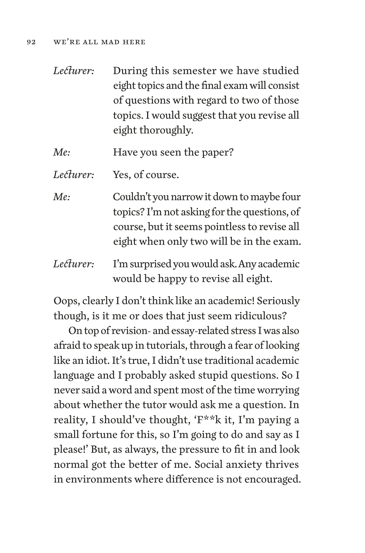#### 92 We're All Mad Here

| Lecturer: | During this semester we have studied         |
|-----------|----------------------------------------------|
|           | eight topics and the final exam will consist |
|           | of questions with regard to two of those     |
|           | topics. I would suggest that you revise all  |
|           | eight thoroughly.                            |
|           |                                              |

*Me:* Have you seen the paper?

*Lecturer:* Yes, of course.

- *Me:* Couldn't you narrow it down to maybe four topics? I'm not asking for the questions, of course, but it seems pointless to revise all eight when only two will be in the exam.
- *Lecturer:* I'm surprised you would ask. Any academic would be happy to revise all eight.

Oops, clearly I don't think like an academic! Seriously though, is it me or does that just seem ridiculous?

On top of revision- and essay-related stress I was also afraid to speak up in tutorials, through a fear of looking like an idiot. It's true, I didn't use traditional academic language and I probably asked stupid questions. So I never said a word and spent most of the time worrying about whether the tutor would ask me a question. In reality, I should've thought, 'F\*\*k it, I'm paying a small fortune for this, so I'm going to do and say as I please!' But, as always, the pressure to fit in and look normal got the better of me. Social anxiety thrives in environments where difference is not encouraged.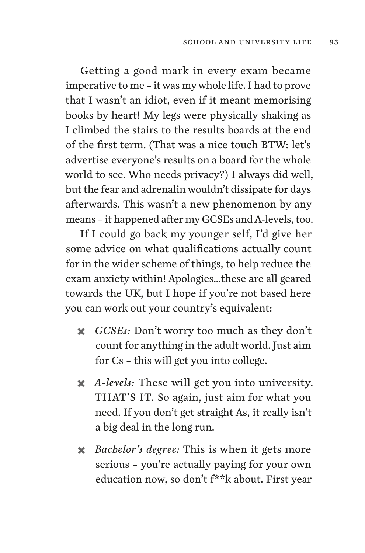Getting a good mark in every exam became imperative to me – it was my whole life. I had to prove that I wasn't an idiot, even if it meant memorising books by heart! My legs were physically shaking as I climbed the stairs to the results boards at the end of the first term. (That was a nice touch BTW: let's advertise everyone's results on a board for the whole world to see. Who needs privacy?) I always did well, but the fear and adrenalin wouldn't dissipate for days afterwards. This wasn't a new phenomenon by any means – it happened after my GCSEs and A-levels, too.

If I could go back my younger self, I'd give her some advice on what qualifications actually count for in the wider scheme of things, to help reduce the exam anxiety within! Apologies…these are all geared towards the UK, but I hope if you're not based here you can work out your country's equivalent:

- ´ *GCSEs:* Don't worry too much as they don't count for anything in the adult world. Just aim for Cs – this will get you into college.
- ´ *A-levels:* These will get you into university. THAT'S IT. So again, just aim for what you need. If you don't get straight As, it really isn't a big deal in the long run.
- ´ *Bachelor's degree:* This is when it gets more serious – you're actually paying for your own education now, so don't f\*\*k about. First year